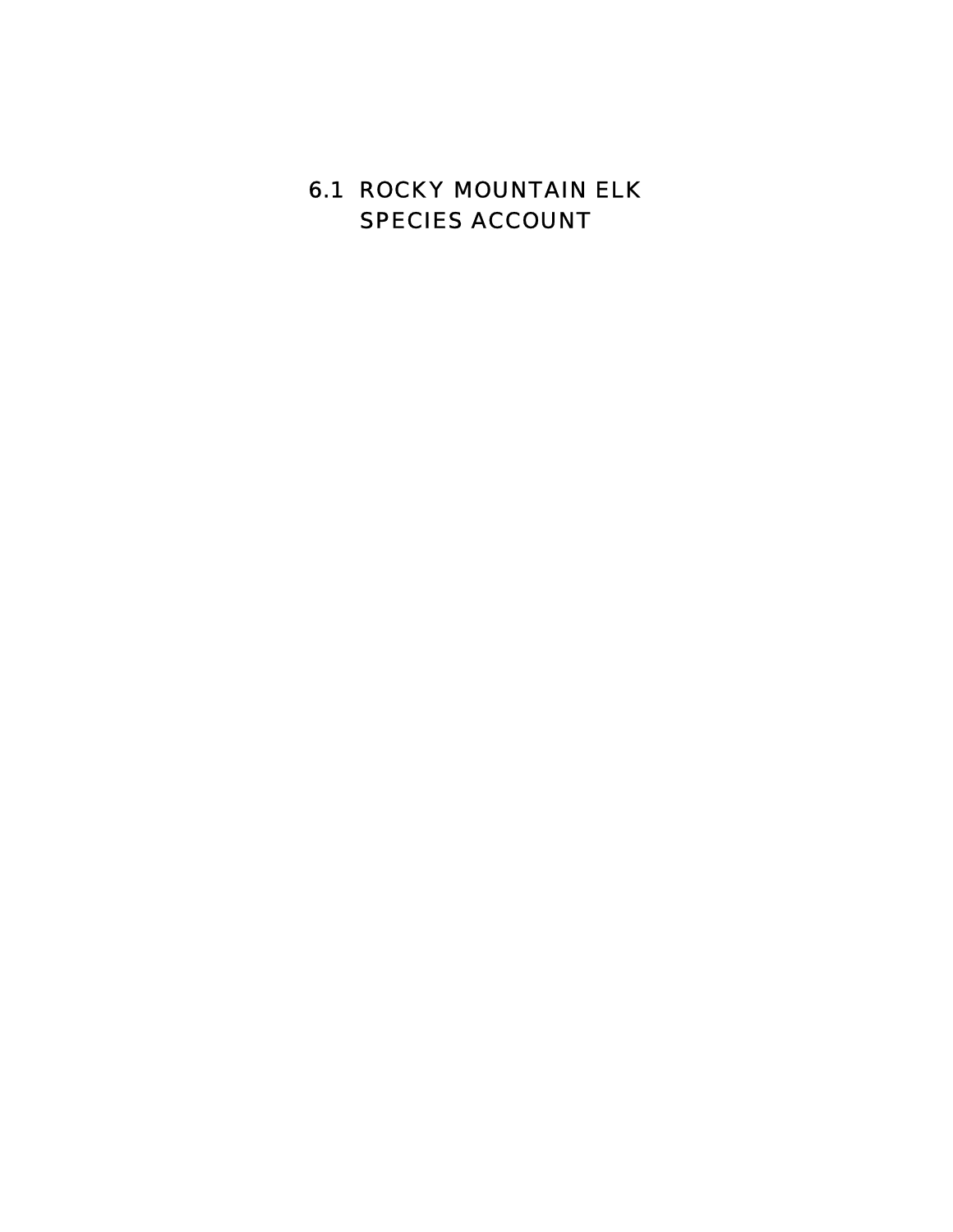# 6.1 ROCKY MOUNTAIN ELK SPECIES ACCOUNT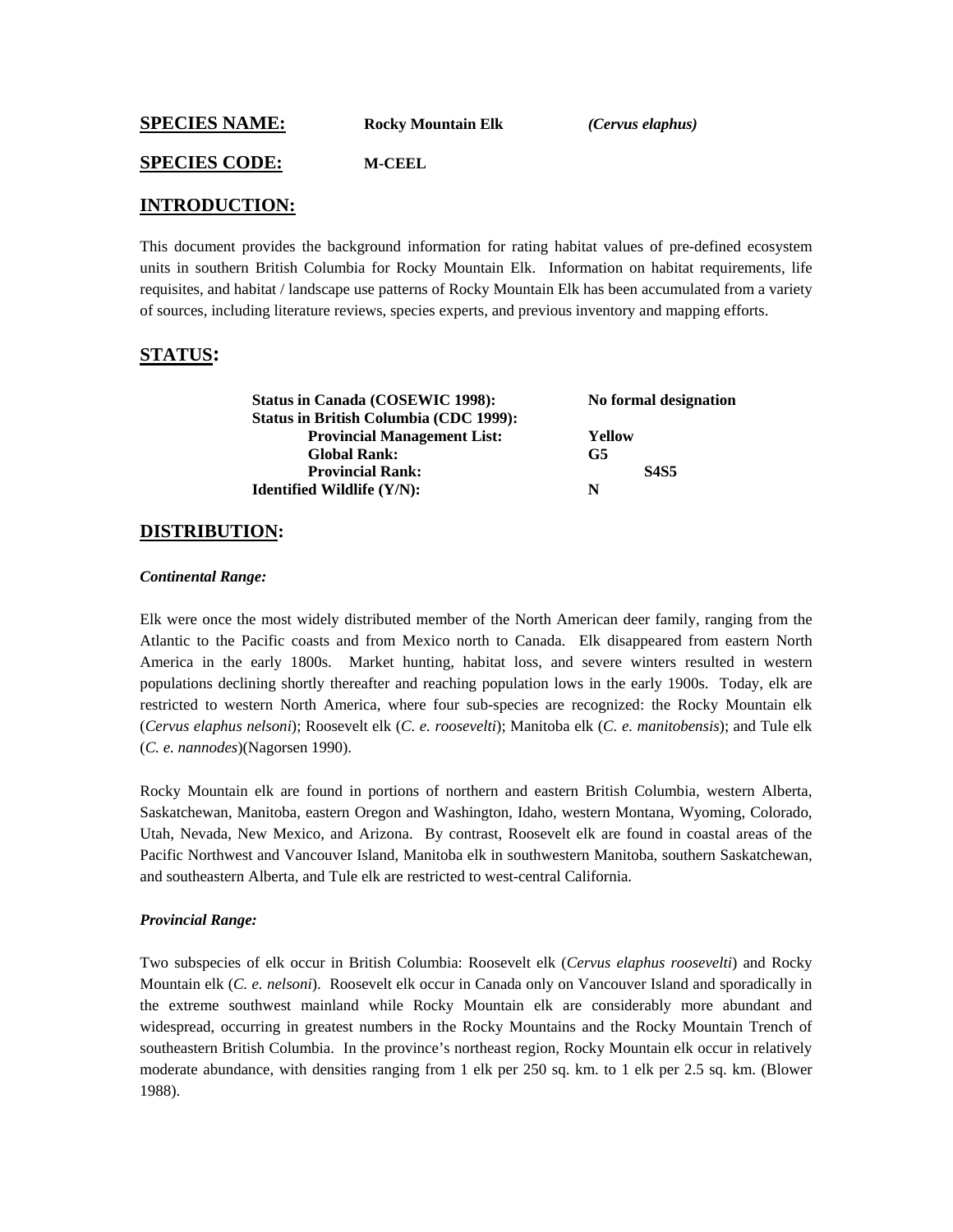**SPECIES NAME: Rocky Mountain Elk** *(Cervus elaphus)*

#### **SPECIES CODE: M-CEEL**

#### **INTRODUCTION:**

This document provides the background information for rating habitat values of pre-defined ecosystem units in southern British Columbia for Rocky Mountain Elk. Information on habitat requirements, life requisites, and habitat / landscape use patterns of Rocky Mountain Elk has been accumulated from a variety of sources, including literature reviews, species experts, and previous inventory and mapping efforts.

### **STATUS:**

| <b>Status in Canada (COSEWIC 1998):</b>       | No formal designation |  |
|-----------------------------------------------|-----------------------|--|
| <b>Status in British Columbia (CDC 1999):</b> |                       |  |
| <b>Provincial Management List:</b>            | Yellow                |  |
| <b>Global Rank:</b>                           | G <sub>5</sub>        |  |
| <b>Provincial Rank:</b>                       | <b>S4S5</b>           |  |
| <b>Identified Wildlife (Y/N):</b>             | N                     |  |

### **DISTRIBUTION:**

#### *Continental Range:*

Elk were once the most widely distributed member of the North American deer family, ranging from the Atlantic to the Pacific coasts and from Mexico north to Canada. Elk disappeared from eastern North America in the early 1800s. Market hunting, habitat loss, and severe winters resulted in western populations declining shortly thereafter and reaching population lows in the early 1900s. Today, elk are restricted to western North America, where four sub-species are recognized: the Rocky Mountain elk (*Cervus elaphus nelsoni*); Roosevelt elk (*C. e. roosevelti*); Manitoba elk (*C. e. manitobensis*); and Tule elk (*C. e. nannodes*)(Nagorsen 1990).

Rocky Mountain elk are found in portions of northern and eastern British Columbia, western Alberta, Saskatchewan, Manitoba, eastern Oregon and Washington, Idaho, western Montana, Wyoming, Colorado, Utah, Nevada, New Mexico, and Arizona. By contrast, Roosevelt elk are found in coastal areas of the Pacific Northwest and Vancouver Island, Manitoba elk in southwestern Manitoba, southern Saskatchewan, and southeastern Alberta, and Tule elk are restricted to west-central California.

#### *Provincial Range:*

Two subspecies of elk occur in British Columbia: Roosevelt elk (*Cervus elaphus roosevelti*) and Rocky Mountain elk (*C. e. nelsoni*). Roosevelt elk occur in Canada only on Vancouver Island and sporadically in the extreme southwest mainland while Rocky Mountain elk are considerably more abundant and widespread, occurring in greatest numbers in the Rocky Mountains and the Rocky Mountain Trench of southeastern British Columbia. In the province's northeast region, Rocky Mountain elk occur in relatively moderate abundance, with densities ranging from 1 elk per 250 sq. km. to 1 elk per 2.5 sq. km. (Blower 1988).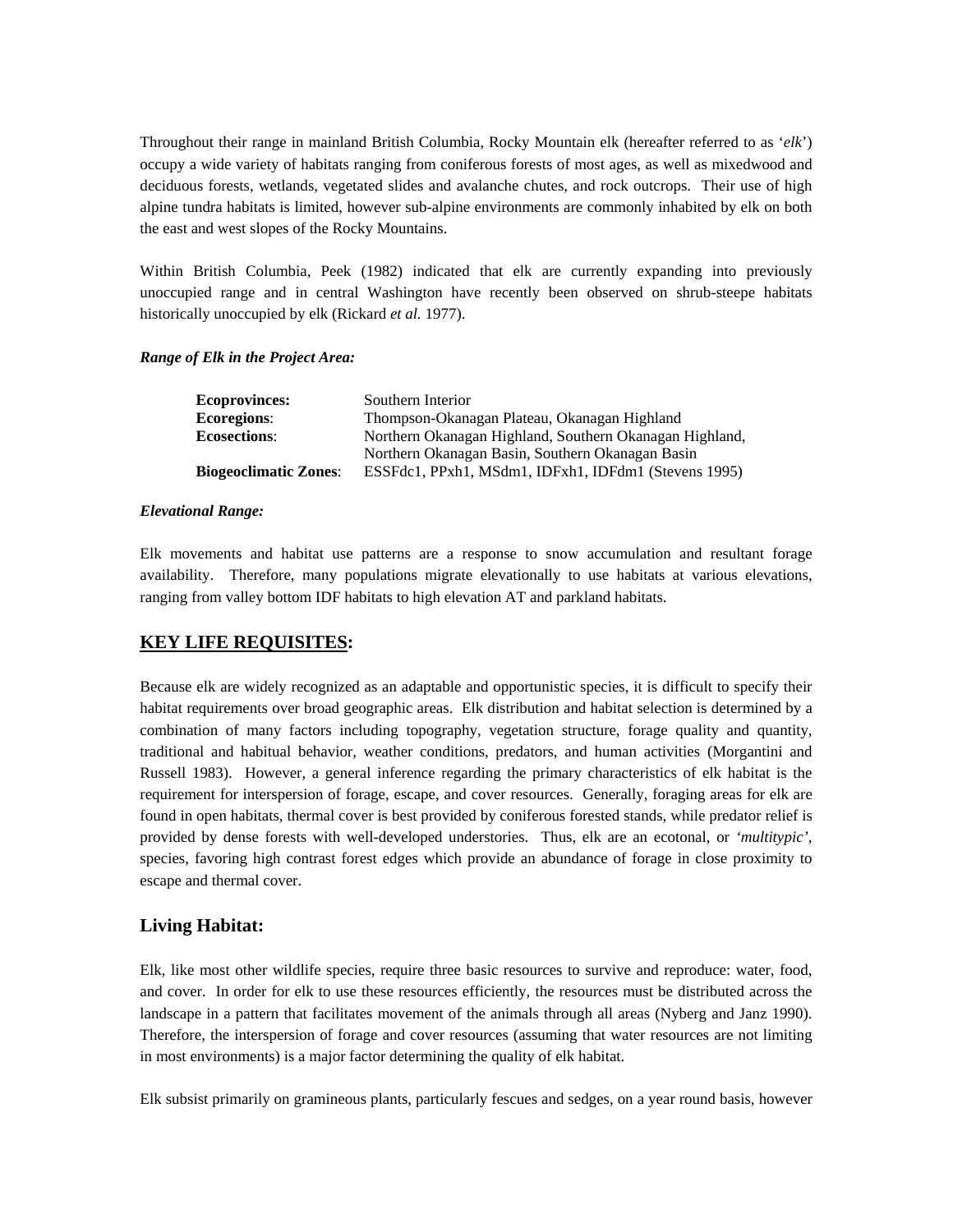Throughout their range in mainland British Columbia, Rocky Mountain elk (hereafter referred to as '*elk*') occupy a wide variety of habitats ranging from coniferous forests of most ages, as well as mixedwood and deciduous forests, wetlands, vegetated slides and avalanche chutes, and rock outcrops. Their use of high alpine tundra habitats is limited, however sub-alpine environments are commonly inhabited by elk on both the east and west slopes of the Rocky Mountains.

Within British Columbia, Peek (1982) indicated that elk are currently expanding into previously unoccupied range and in central Washington have recently been observed on shrub-steepe habitats historically unoccupied by elk (Rickard *et al.* 1977).

#### *Range of Elk in the Project Area:*

| <b>Ecoprovinces:</b>         | Southern Interior                                       |
|------------------------------|---------------------------------------------------------|
| <b>Ecoregions:</b>           | Thompson-Okanagan Plateau, Okanagan Highland            |
| <b>Ecosections:</b>          | Northern Okanagan Highland, Southern Okanagan Highland, |
|                              | Northern Okanagan Basin, Southern Okanagan Basin        |
| <b>Biogeoclimatic Zones:</b> | ESSFdc1, PPxh1, MSdm1, IDFxh1, IDFdm1 (Stevens 1995)    |

#### *Elevational Range:*

Elk movements and habitat use patterns are a response to snow accumulation and resultant forage availability. Therefore, many populations migrate elevationally to use habitats at various elevations, ranging from valley bottom IDF habitats to high elevation AT and parkland habitats.

### **KEY LIFE REQUISITES:**

Because elk are widely recognized as an adaptable and opportunistic species, it is difficult to specify their habitat requirements over broad geographic areas. Elk distribution and habitat selection is determined by a combination of many factors including topography, vegetation structure, forage quality and quantity, traditional and habitual behavior, weather conditions, predators, and human activities (Morgantini and Russell 1983). However, a general inference regarding the primary characteristics of elk habitat is the requirement for interspersion of forage, escape, and cover resources. Generally, foraging areas for elk are found in open habitats, thermal cover is best provided by coniferous forested stands, while predator relief is provided by dense forests with well-developed understories. Thus, elk are an ecotonal, or *'multitypic'*, species, favoring high contrast forest edges which provide an abundance of forage in close proximity to escape and thermal cover.

### **Living Habitat:**

Elk, like most other wildlife species, require three basic resources to survive and reproduce: water, food, and cover. In order for elk to use these resources efficiently, the resources must be distributed across the landscape in a pattern that facilitates movement of the animals through all areas (Nyberg and Janz 1990). Therefore, the interspersion of forage and cover resources (assuming that water resources are not limiting in most environments) is a major factor determining the quality of elk habitat.

Elk subsist primarily on gramineous plants, particularly fescues and sedges, on a year round basis, however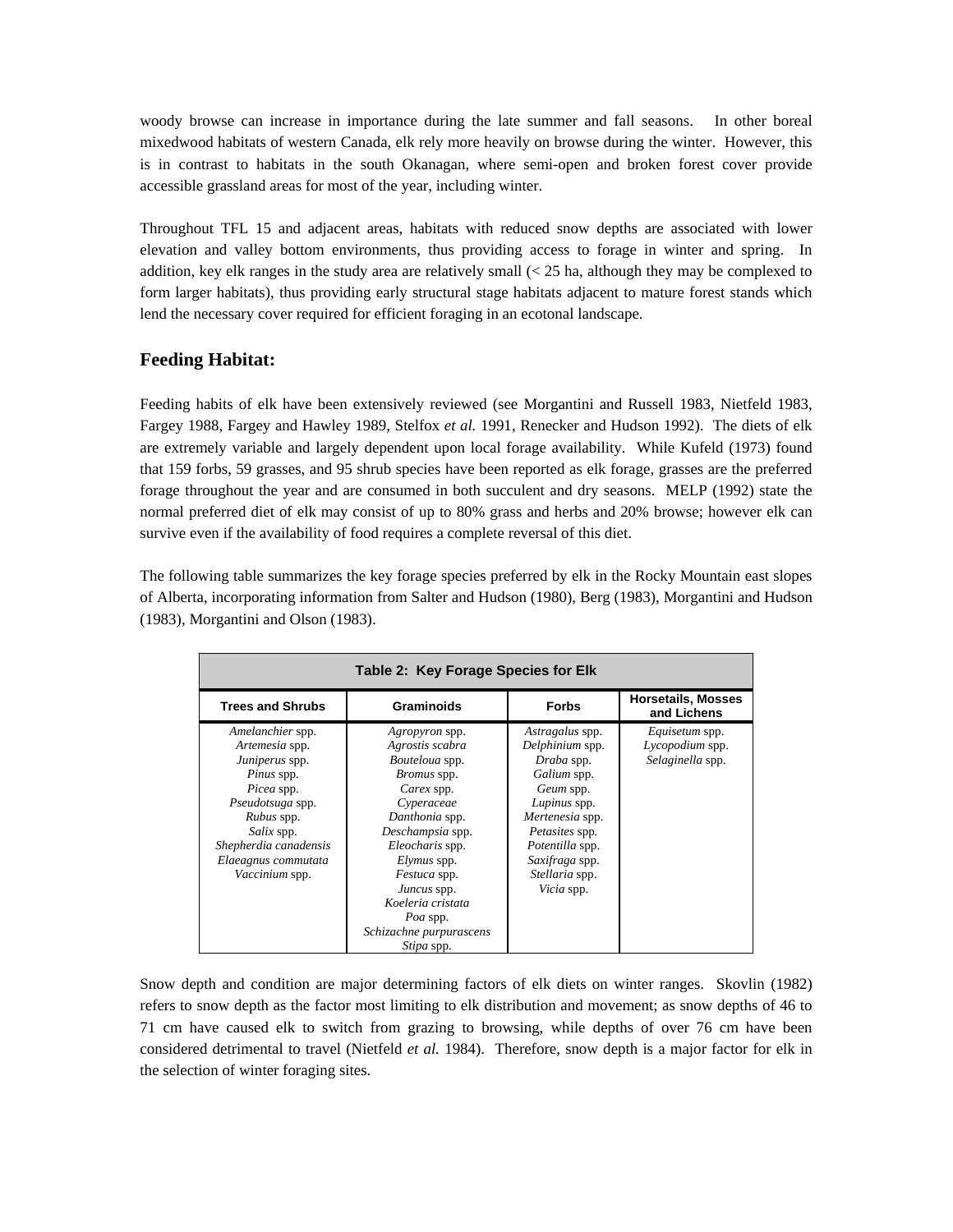woody browse can increase in importance during the late summer and fall seasons. In other boreal mixedwood habitats of western Canada, elk rely more heavily on browse during the winter. However, this is in contrast to habitats in the south Okanagan, where semi-open and broken forest cover provide accessible grassland areas for most of the year, including winter.

Throughout TFL 15 and adjacent areas, habitats with reduced snow depths are associated with lower elevation and valley bottom environments, thus providing access to forage in winter and spring. In addition, key elk ranges in the study area are relatively small (< 25 ha, although they may be complexed to form larger habitats), thus providing early structural stage habitats adjacent to mature forest stands which lend the necessary cover required for efficient foraging in an ecotonal landscape.

### **Feeding Habitat:**

Feeding habits of elk have been extensively reviewed (see Morgantini and Russell 1983, Nietfeld 1983, Fargey 1988, Fargey and Hawley 1989, Stelfox *et al.* 1991, Renecker and Hudson 1992). The diets of elk are extremely variable and largely dependent upon local forage availability. While Kufeld (1973) found that 159 forbs, 59 grasses, and 95 shrub species have been reported as elk forage, grasses are the preferred forage throughout the year and are consumed in both succulent and dry seasons. MELP (1992) state the normal preferred diet of elk may consist of up to 80% grass and herbs and 20% browse; however elk can survive even if the availability of food requires a complete reversal of this diet.

The following table summarizes the key forage species preferred by elk in the Rocky Mountain east slopes of Alberta, incorporating information from Salter and Hudson (1980), Berg (1983), Morgantini and Hudson (1983), Morgantini and Olson (1983).

|                                                                                                                                                                                                    | Table 2: Key Forage Species for Elk                                                                                                                                                                                                                                                           |                                                                                                                                                                                                               |                                                       |
|----------------------------------------------------------------------------------------------------------------------------------------------------------------------------------------------------|-----------------------------------------------------------------------------------------------------------------------------------------------------------------------------------------------------------------------------------------------------------------------------------------------|---------------------------------------------------------------------------------------------------------------------------------------------------------------------------------------------------------------|-------------------------------------------------------|
| <b>Trees and Shrubs</b>                                                                                                                                                                            | Graminoids                                                                                                                                                                                                                                                                                    | <b>Forbs</b>                                                                                                                                                                                                  | <b>Horsetails, Mosses</b><br>and Lichens              |
| Amelanchier spp.<br>Artemesia spp.<br>Juniperus spp.<br>Pinus spp.<br>Picea spp.<br>Pseudotsuga spp.<br>Rubus spp.<br>Salix spp.<br>Shepherdia canadensis<br>Elaeagnus commutata<br>Vaccinium spp. | <i>Agropyron</i> spp.<br>Agrostis scabra<br>Bouteloua spp.<br><i>Bromus</i> spp.<br>Carex spp.<br>Cyperaceae<br>Danthonia spp.<br>Deschampsia spp.<br>Eleocharis spp.<br>Elymus spp.<br>Festuca spp.<br>Juncus spp.<br>Koeleria cristata<br>Poa spp.<br>Schizachne purpurascens<br>Stipa spp. | Astragalus spp.<br>Delphinium spp.<br>Draba spp.<br>Galium spp.<br>Geum spp.<br>Lupinus spp.<br>Mertenesia spp.<br>Petasites spp.<br>Potentilla spp.<br>Saxifraga spp.<br>Stellaria spp.<br><i>Vicia</i> spp. | Equisetum spp.<br>Lycopodium spp.<br>Selaginella spp. |

Snow depth and condition are major determining factors of elk diets on winter ranges. Skovlin (1982) refers to snow depth as the factor most limiting to elk distribution and movement; as snow depths of 46 to 71 cm have caused elk to switch from grazing to browsing, while depths of over 76 cm have been considered detrimental to travel (Nietfeld *et al.* 1984). Therefore, snow depth is a major factor for elk in the selection of winter foraging sites.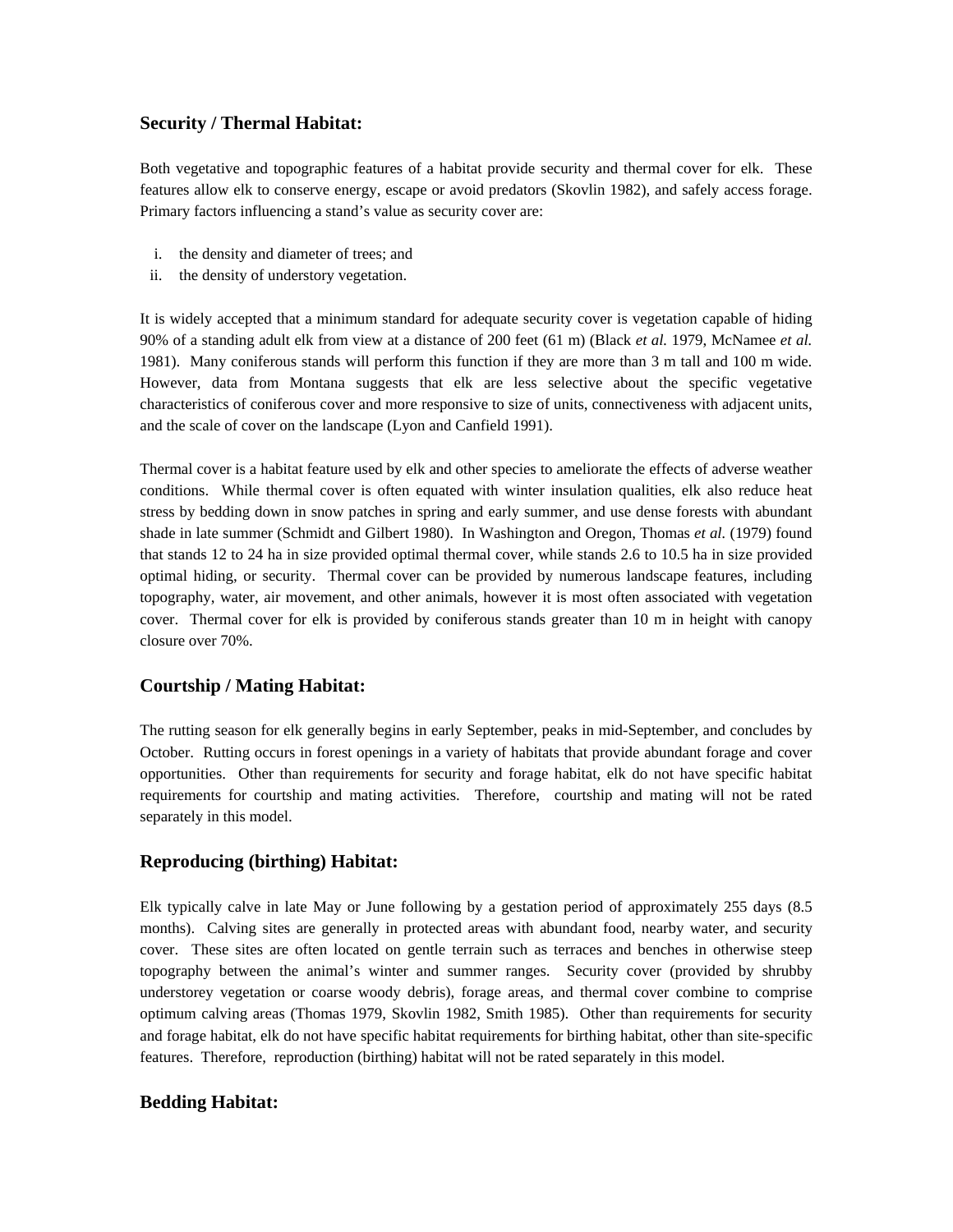### **Security / Thermal Habitat:**

Both vegetative and topographic features of a habitat provide security and thermal cover for elk. These features allow elk to conserve energy, escape or avoid predators (Skovlin 1982), and safely access forage. Primary factors influencing a stand's value as security cover are:

- i. the density and diameter of trees; and
- ii. the density of understory vegetation.

It is widely accepted that a minimum standard for adequate security cover is vegetation capable of hiding 90% of a standing adult elk from view at a distance of 200 feet (61 m) (Black *et al.* 1979, McNamee *et al.* 1981). Many coniferous stands will perform this function if they are more than 3 m tall and 100 m wide. However, data from Montana suggests that elk are less selective about the specific vegetative characteristics of coniferous cover and more responsive to size of units, connectiveness with adjacent units, and the scale of cover on the landscape (Lyon and Canfield 1991).

Thermal cover is a habitat feature used by elk and other species to ameliorate the effects of adverse weather conditions. While thermal cover is often equated with winter insulation qualities, elk also reduce heat stress by bedding down in snow patches in spring and early summer, and use dense forests with abundant shade in late summer (Schmidt and Gilbert 1980). In Washington and Oregon, Thomas *et al.* (1979) found that stands 12 to 24 ha in size provided optimal thermal cover, while stands 2.6 to 10.5 ha in size provided optimal hiding, or security. Thermal cover can be provided by numerous landscape features, including topography, water, air movement, and other animals, however it is most often associated with vegetation cover. Thermal cover for elk is provided by coniferous stands greater than 10 m in height with canopy closure over 70%.

### **Courtship / Mating Habitat:**

The rutting season for elk generally begins in early September, peaks in mid-September, and concludes by October. Rutting occurs in forest openings in a variety of habitats that provide abundant forage and cover opportunities. Other than requirements for security and forage habitat, elk do not have specific habitat requirements for courtship and mating activities. Therefore, courtship and mating will not be rated separately in this model.

### **Reproducing (birthing) Habitat:**

Elk typically calve in late May or June following by a gestation period of approximately 255 days (8.5 months). Calving sites are generally in protected areas with abundant food, nearby water, and security cover. These sites are often located on gentle terrain such as terraces and benches in otherwise steep topography between the animal's winter and summer ranges. Security cover (provided by shrubby understorey vegetation or coarse woody debris), forage areas, and thermal cover combine to comprise optimum calving areas (Thomas 1979, Skovlin 1982, Smith 1985). Other than requirements for security and forage habitat, elk do not have specific habitat requirements for birthing habitat, other than site-specific features. Therefore, reproduction (birthing) habitat will not be rated separately in this model.

### **Bedding Habitat:**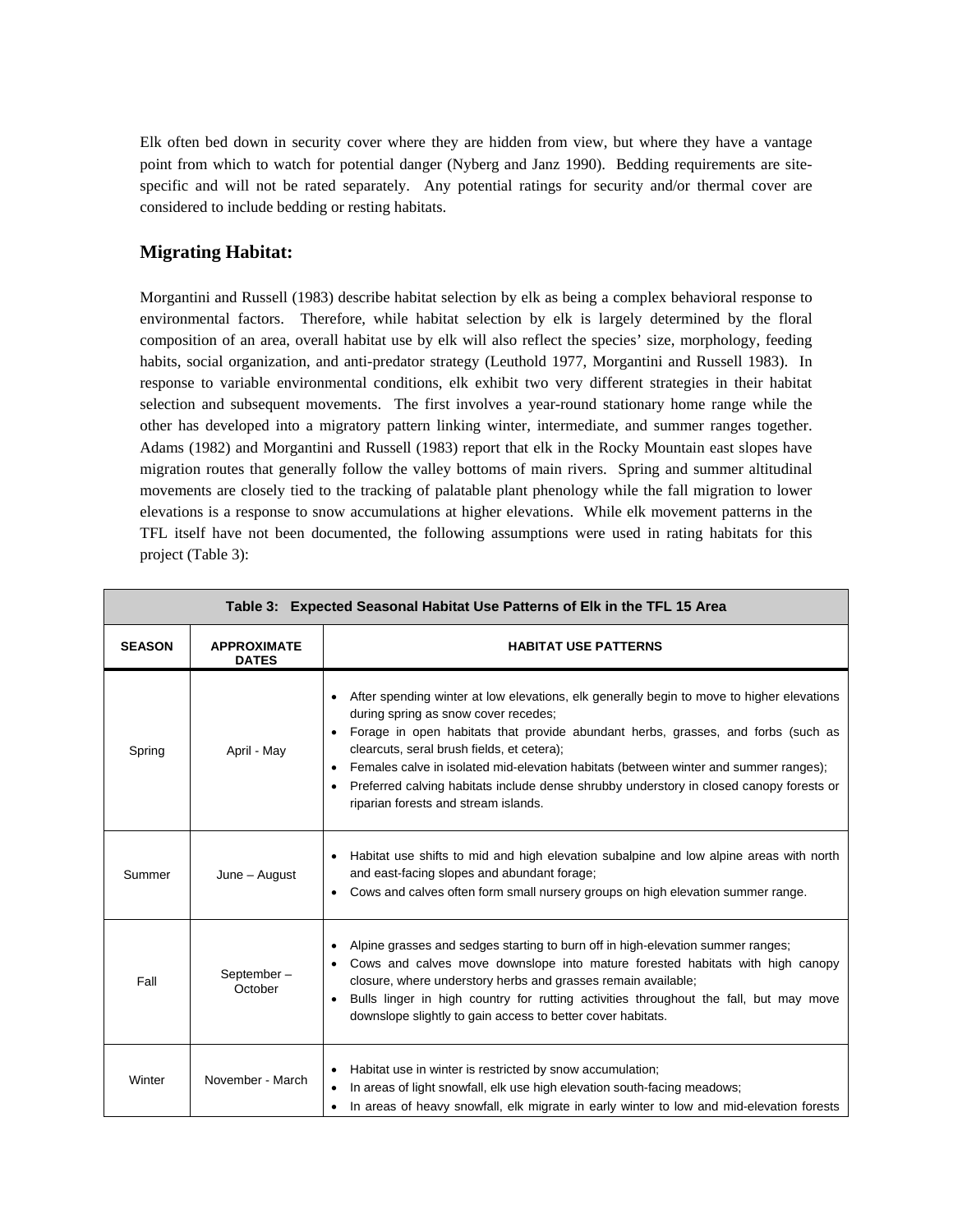Elk often bed down in security cover where they are hidden from view, but where they have a vantage point from which to watch for potential danger (Nyberg and Janz 1990). Bedding requirements are sitespecific and will not be rated separately. Any potential ratings for security and/or thermal cover are considered to include bedding or resting habitats.

## **Migrating Habitat:**

Morgantini and Russell (1983) describe habitat selection by elk as being a complex behavioral response to environmental factors. Therefore, while habitat selection by elk is largely determined by the floral composition of an area, overall habitat use by elk will also reflect the species' size, morphology, feeding habits, social organization, and anti-predator strategy (Leuthold 1977, Morgantini and Russell 1983). In response to variable environmental conditions, elk exhibit two very different strategies in their habitat selection and subsequent movements. The first involves a year-round stationary home range while the other has developed into a migratory pattern linking winter, intermediate, and summer ranges together. Adams (1982) and Morgantini and Russell (1983) report that elk in the Rocky Mountain east slopes have migration routes that generally follow the valley bottoms of main rivers. Spring and summer altitudinal movements are closely tied to the tracking of palatable plant phenology while the fall migration to lower elevations is a response to snow accumulations at higher elevations. While elk movement patterns in the TFL itself have not been documented, the following assumptions were used in rating habitats for this project (Table 3):

| Table 3: Expected Seasonal Habitat Use Patterns of Elk in the TFL 15 Area |                                    |                                                                                                                                                                                                                                                                                                                                                                                                                                                                                                                          |  |
|---------------------------------------------------------------------------|------------------------------------|--------------------------------------------------------------------------------------------------------------------------------------------------------------------------------------------------------------------------------------------------------------------------------------------------------------------------------------------------------------------------------------------------------------------------------------------------------------------------------------------------------------------------|--|
| <b>SEASON</b>                                                             | <b>APPROXIMATE</b><br><b>DATES</b> | <b>HABITAT USE PATTERNS</b>                                                                                                                                                                                                                                                                                                                                                                                                                                                                                              |  |
| Spring                                                                    | April - May                        | After spending winter at low elevations, elk generally begin to move to higher elevations<br>during spring as snow cover recedes;<br>Forage in open habitats that provide abundant herbs, grasses, and forbs (such as<br>$\bullet$<br>clearcuts, seral brush fields, et cetera);<br>Females calve in isolated mid-elevation habitats (between winter and summer ranges);<br>Preferred calving habitats include dense shrubby understory in closed canopy forests or<br>$\bullet$<br>riparian forests and stream islands. |  |
| Summer                                                                    | June - August                      | Habitat use shifts to mid and high elevation subalpine and low alpine areas with north<br>and east-facing slopes and abundant forage;<br>Cows and calves often form small nursery groups on high elevation summer range.                                                                                                                                                                                                                                                                                                 |  |
| Fall                                                                      | September-<br>October              | Alpine grasses and sedges starting to burn off in high-elevation summer ranges;<br>Cows and calves move downslope into mature forested habitats with high canopy<br>closure, where understory herbs and grasses remain available;<br>Bulls linger in high country for rutting activities throughout the fall, but may move<br>downslope slightly to gain access to better cover habitats.                                                                                                                                |  |
| Winter                                                                    | November - March                   | Habitat use in winter is restricted by snow accumulation;<br>٠<br>In areas of light snowfall, elk use high elevation south-facing meadows;<br>In areas of heavy snowfall, elk migrate in early winter to low and mid-elevation forests                                                                                                                                                                                                                                                                                   |  |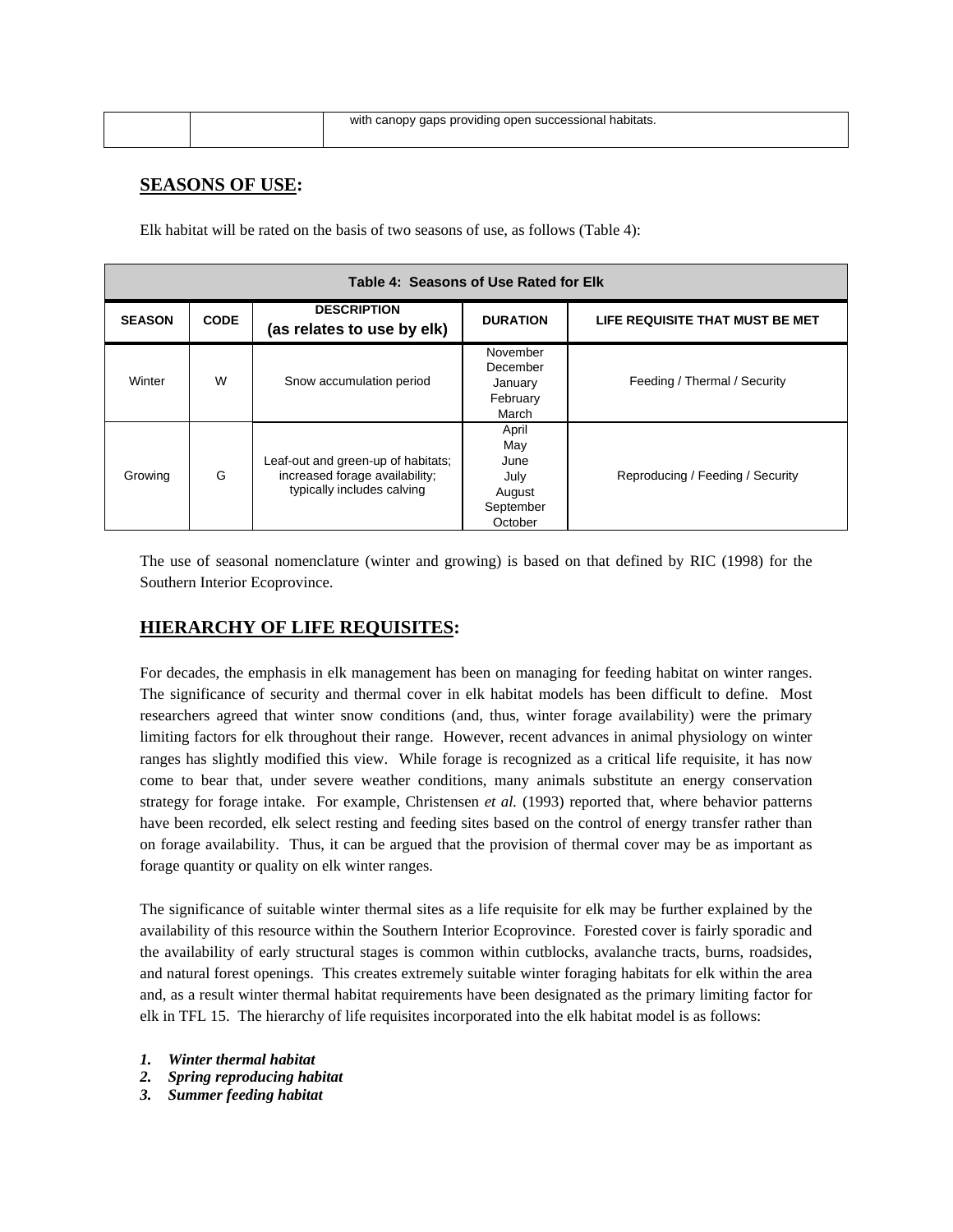|  | with canopy gaps providing open successional habitats. |
|--|--------------------------------------------------------|
|  |                                                        |

### **SEASONS OF USE:**

Elk habitat will be rated on the basis of two seasons of use, as follows (Table 4):

| Table 4: Seasons of Use Rated for Elk |             |                                                                                                    |                                                                |                                  |
|---------------------------------------|-------------|----------------------------------------------------------------------------------------------------|----------------------------------------------------------------|----------------------------------|
| <b>SEASON</b>                         | <b>CODE</b> | <b>DESCRIPTION</b><br>(as relates to use by elk)                                                   | <b>DURATION</b>                                                | LIFE REQUISITE THAT MUST BE MET  |
| Winter                                | W           | Snow accumulation period                                                                           | November<br>December<br>January<br>February<br>March           | Feeding / Thermal / Security     |
| Growing                               | G           | Leaf-out and green-up of habitats;<br>increased forage availability;<br>typically includes calving | April<br>May<br>June<br>July<br>August<br>September<br>October | Reproducing / Feeding / Security |

The use of seasonal nomenclature (winter and growing) is based on that defined by RIC (1998) for the Southern Interior Ecoprovince.

### **HIERARCHY OF LIFE REQUISITES:**

For decades, the emphasis in elk management has been on managing for feeding habitat on winter ranges. The significance of security and thermal cover in elk habitat models has been difficult to define. Most researchers agreed that winter snow conditions (and, thus, winter forage availability) were the primary limiting factors for elk throughout their range. However, recent advances in animal physiology on winter ranges has slightly modified this view. While forage is recognized as a critical life requisite, it has now come to bear that, under severe weather conditions, many animals substitute an energy conservation strategy for forage intake. For example, Christensen *et al.* (1993) reported that, where behavior patterns have been recorded, elk select resting and feeding sites based on the control of energy transfer rather than on forage availability. Thus, it can be argued that the provision of thermal cover may be as important as forage quantity or quality on elk winter ranges.

The significance of suitable winter thermal sites as a life requisite for elk may be further explained by the availability of this resource within the Southern Interior Ecoprovince. Forested cover is fairly sporadic and the availability of early structural stages is common within cutblocks, avalanche tracts, burns, roadsides, and natural forest openings. This creates extremely suitable winter foraging habitats for elk within the area and, as a result winter thermal habitat requirements have been designated as the primary limiting factor for elk in TFL 15. The hierarchy of life requisites incorporated into the elk habitat model is as follows:

- *1. Winter thermal habitat*
- *2. Spring reproducing habitat*
- *3. Summer feeding habitat*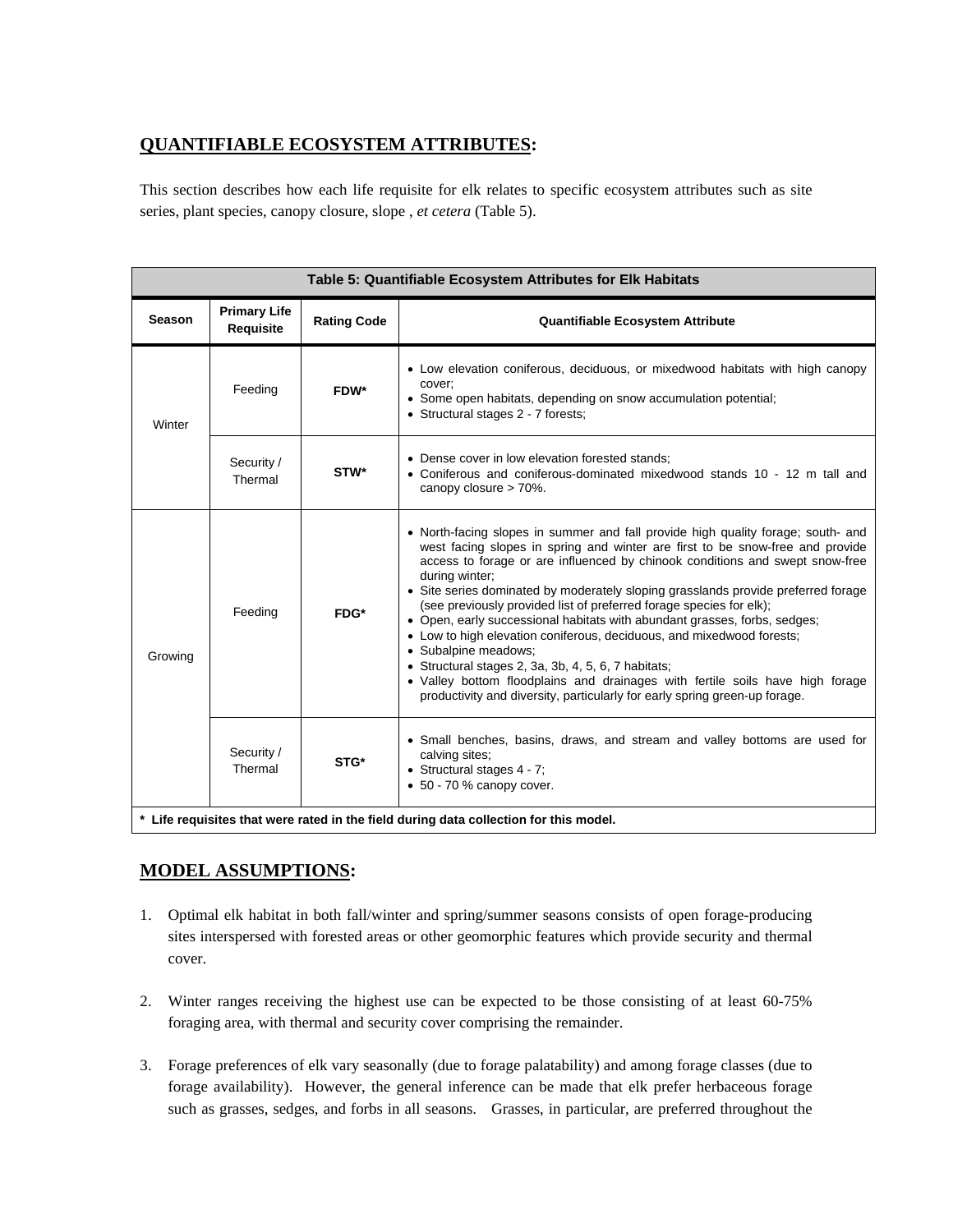# **QUANTIFIABLE ECOSYSTEM ATTRIBUTES:**

This section describes how each life requisite for elk relates to specific ecosystem attributes such as site series, plant species, canopy closure, slope , *et cetera* (Table 5).

| Table 5: Quantifiable Ecosystem Attributes for Elk Habitats                                                                 |                                  |                                                                                                                                                                                                                                                                                                                                                                                                                                                                                                                                                                                                                                                                                                                                    |                                                                                                                                                                                                  |
|-----------------------------------------------------------------------------------------------------------------------------|----------------------------------|------------------------------------------------------------------------------------------------------------------------------------------------------------------------------------------------------------------------------------------------------------------------------------------------------------------------------------------------------------------------------------------------------------------------------------------------------------------------------------------------------------------------------------------------------------------------------------------------------------------------------------------------------------------------------------------------------------------------------------|--------------------------------------------------------------------------------------------------------------------------------------------------------------------------------------------------|
| <b>Season</b>                                                                                                               | <b>Primary Life</b><br>Requisite | <b>Rating Code</b>                                                                                                                                                                                                                                                                                                                                                                                                                                                                                                                                                                                                                                                                                                                 | <b>Quantifiable Ecosystem Attribute</b>                                                                                                                                                          |
| Winter                                                                                                                      | Feeding                          | FDW*                                                                                                                                                                                                                                                                                                                                                                                                                                                                                                                                                                                                                                                                                                                               | • Low elevation coniferous, deciduous, or mixedwood habitats with high canopy<br>cover;<br>• Some open habitats, depending on snow accumulation potential;<br>• Structural stages 2 - 7 forests; |
| Security /<br>Thermal                                                                                                       |                                  | STW*                                                                                                                                                                                                                                                                                                                                                                                                                                                                                                                                                                                                                                                                                                                               | • Dense cover in low elevation forested stands;<br>• Coniferous and coniferous-dominated mixedwood stands 10 - 12 m tall and<br>canopy closure > 70%.                                            |
| during winter;<br>Feeding<br>FDG*<br>· Subalpine meadows:<br>Growing<br>• Structural stages 2, 3a, 3b, 4, 5, 6, 7 habitats; |                                  | • North-facing slopes in summer and fall provide high quality forage; south- and<br>west facing slopes in spring and winter are first to be snow-free and provide<br>access to forage or are influenced by chinook conditions and swept snow-free<br>• Site series dominated by moderately sloping grasslands provide preferred forage<br>(see previously provided list of preferred forage species for elk);<br>• Open, early successional habitats with abundant grasses, forbs, sedges;<br>• Low to high elevation coniferous, deciduous, and mixedwood forests;<br>• Valley bottom floodplains and drainages with fertile soils have high forage<br>productivity and diversity, particularly for early spring green-up forage. |                                                                                                                                                                                                  |
|                                                                                                                             | Security /<br>Thermal            | STG*                                                                                                                                                                                                                                                                                                                                                                                                                                                                                                                                                                                                                                                                                                                               | • Small benches, basins, draws, and stream and valley bottoms are used for<br>calving sites;<br>• Structural stages 4 - 7;<br>$\bullet$ 50 - 70 % canopy cover.                                  |
| * Life requisites that were rated in the field during data collection for this model.                                       |                                  |                                                                                                                                                                                                                                                                                                                                                                                                                                                                                                                                                                                                                                                                                                                                    |                                                                                                                                                                                                  |

# **MODEL ASSUMPTIONS:**

- 1. Optimal elk habitat in both fall/winter and spring/summer seasons consists of open forage-producing sites interspersed with forested areas or other geomorphic features which provide security and thermal cover.
- 2. Winter ranges receiving the highest use can be expected to be those consisting of at least 60-75% foraging area, with thermal and security cover comprising the remainder.
- 3. Forage preferences of elk vary seasonally (due to forage palatability) and among forage classes (due to forage availability). However, the general inference can be made that elk prefer herbaceous forage such as grasses, sedges, and forbs in all seasons. Grasses, in particular, are preferred throughout the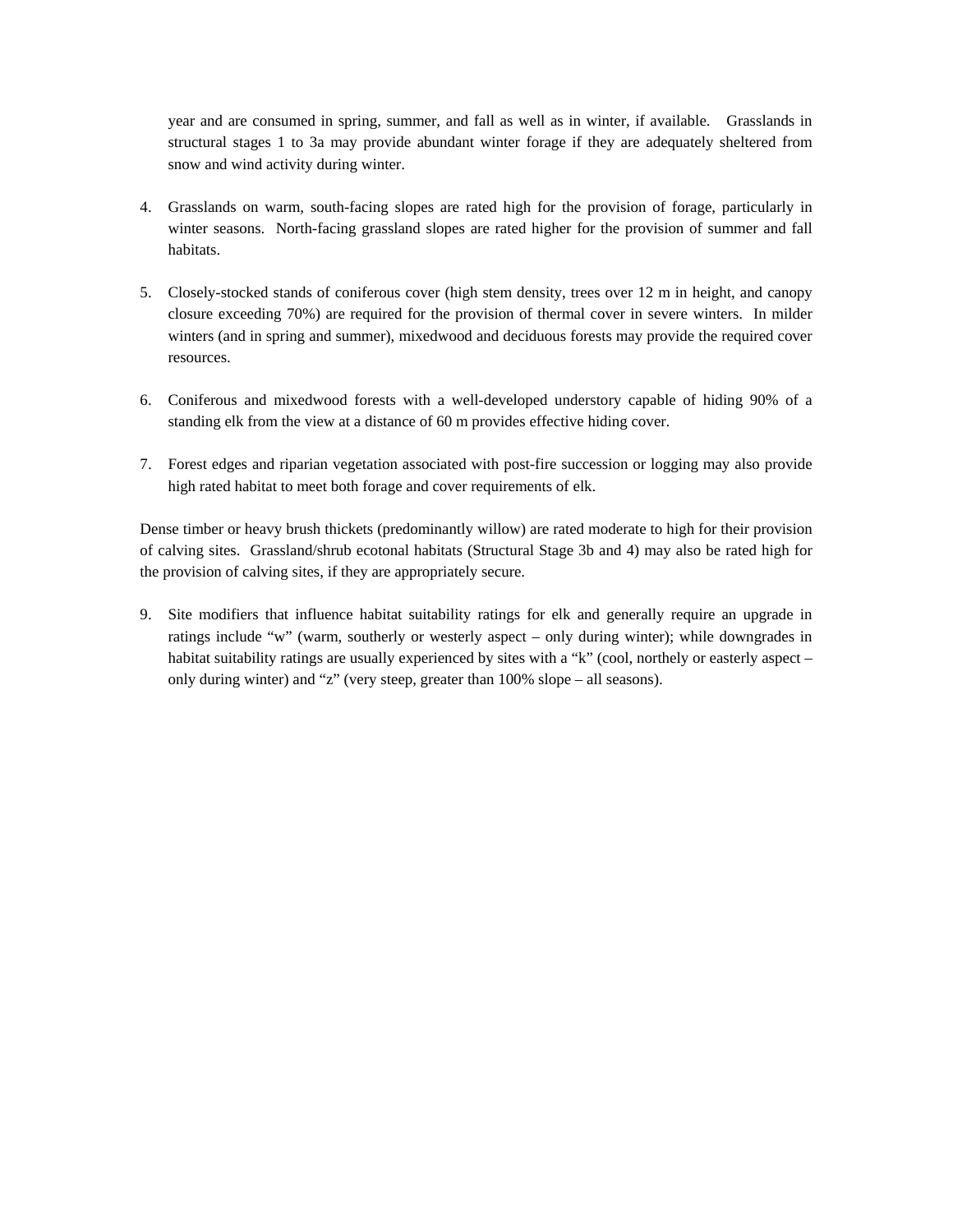year and are consumed in spring, summer, and fall as well as in winter, if available. Grasslands in structural stages 1 to 3a may provide abundant winter forage if they are adequately sheltered from snow and wind activity during winter.

- 4. Grasslands on warm, south-facing slopes are rated high for the provision of forage, particularly in winter seasons. North-facing grassland slopes are rated higher for the provision of summer and fall habitats.
- 5. Closely-stocked stands of coniferous cover (high stem density, trees over 12 m in height, and canopy closure exceeding 70%) are required for the provision of thermal cover in severe winters. In milder winters (and in spring and summer), mixedwood and deciduous forests may provide the required cover resources.
- 6. Coniferous and mixedwood forests with a well-developed understory capable of hiding 90% of a standing elk from the view at a distance of 60 m provides effective hiding cover.
- 7. Forest edges and riparian vegetation associated with post-fire succession or logging may also provide high rated habitat to meet both forage and cover requirements of elk.

Dense timber or heavy brush thickets (predominantly willow) are rated moderate to high for their provision of calving sites. Grassland/shrub ecotonal habitats (Structural Stage 3b and 4) may also be rated high for the provision of calving sites, if they are appropriately secure.

9. Site modifiers that influence habitat suitability ratings for elk and generally require an upgrade in ratings include "w" (warm, southerly or westerly aspect – only during winter); while downgrades in habitat suitability ratings are usually experienced by sites with a "k" (cool, northely or easterly aspect only during winter) and "z" (very steep, greater than 100% slope – all seasons).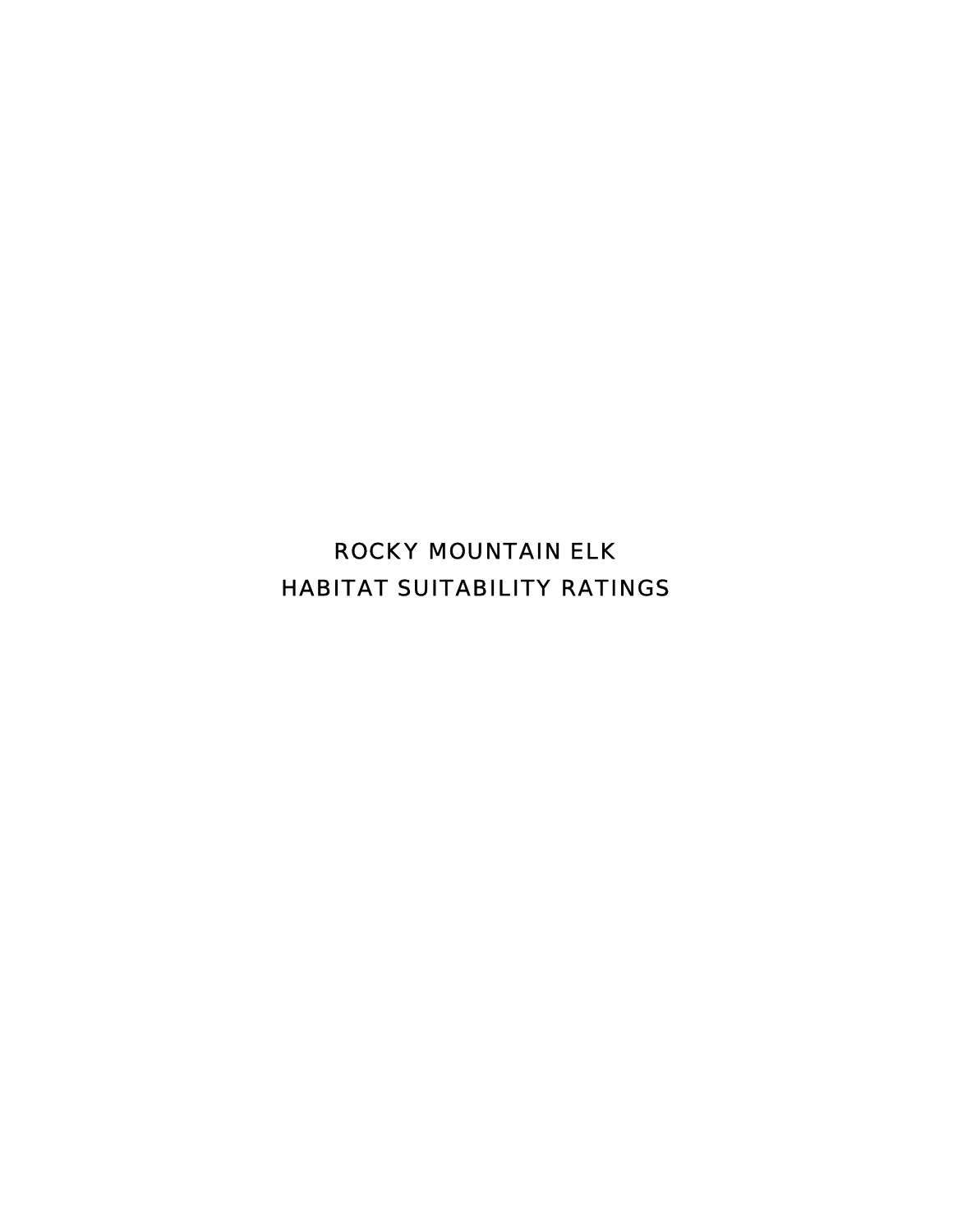ROCKY MOUNTAIN ELK HABITAT SUITABILITY RATINGS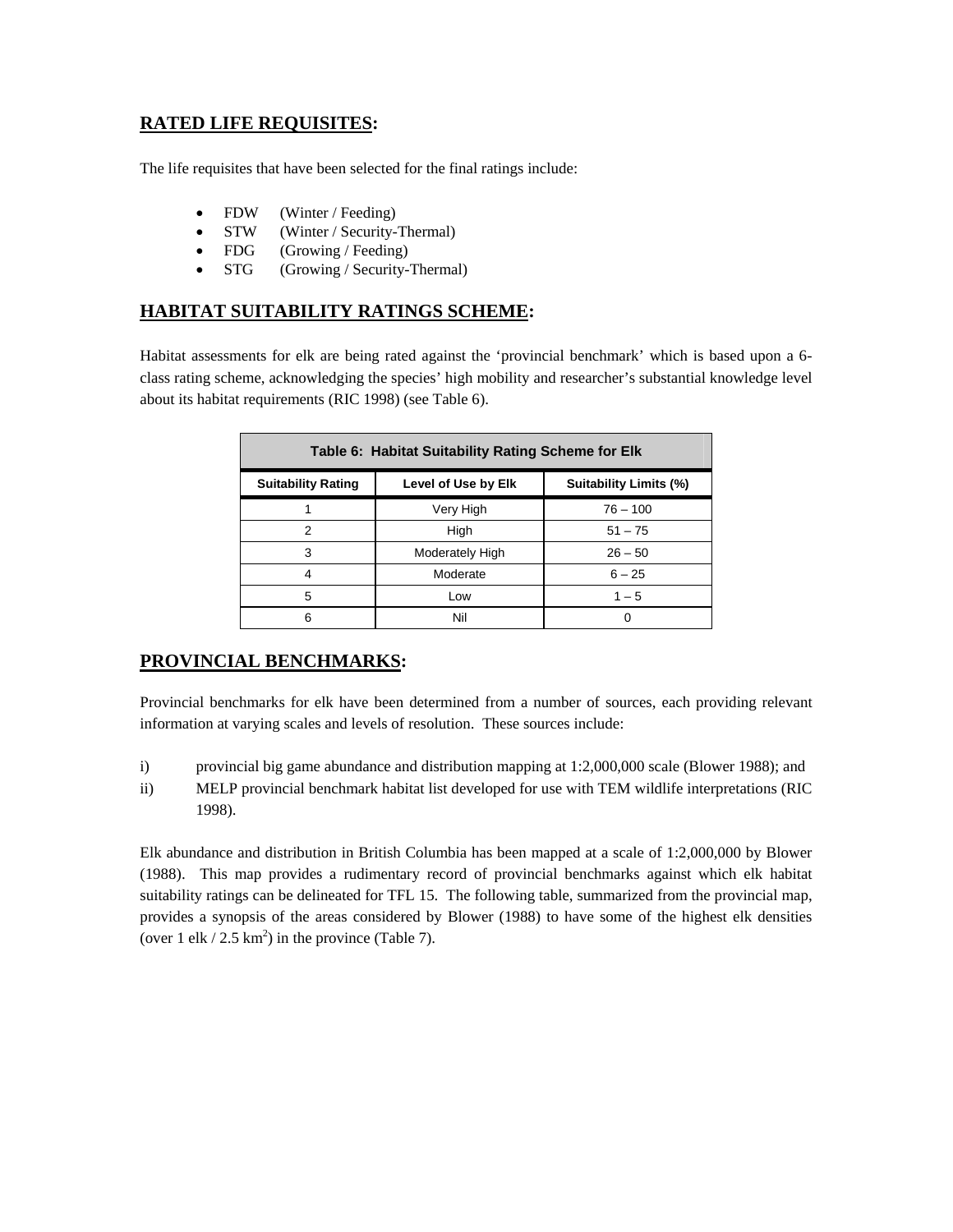# **RATED LIFE REQUISITES:**

The life requisites that have been selected for the final ratings include:

- FDW (Winter / Feeding)
- STW (Winter / Security-Thermal)
- FDG (Growing / Feeding)
- STG (Growing / Security-Thermal)

### **HABITAT SUITABILITY RATINGS SCHEME:**

Habitat assessments for elk are being rated against the 'provincial benchmark' which is based upon a 6 class rating scheme, acknowledging the species' high mobility and researcher's substantial knowledge level about its habitat requirements (RIC 1998) (see Table 6).

| Table 6: Habitat Suitability Rating Scheme for Elk                                |                 |            |  |
|-----------------------------------------------------------------------------------|-----------------|------------|--|
| <b>Suitability Limits (%)</b><br><b>Suitability Rating</b><br>Level of Use by Elk |                 |            |  |
|                                                                                   | Very High       | $76 - 100$ |  |
| 2                                                                                 | High            | $51 - 75$  |  |
| 3                                                                                 | Moderately High | $26 - 50$  |  |
| 4                                                                                 | Moderate        | $6 - 25$   |  |
| 5                                                                                 | Low             | $1 - 5$    |  |
| 6                                                                                 | Nil             |            |  |

### **PROVINCIAL BENCHMARKS:**

Provincial benchmarks for elk have been determined from a number of sources, each providing relevant information at varying scales and levels of resolution. These sources include:

- i) provincial big game abundance and distribution mapping at 1:2,000,000 scale (Blower 1988); and
- ii) MELP provincial benchmark habitat list developed for use with TEM wildlife interpretations (RIC 1998).

Elk abundance and distribution in British Columbia has been mapped at a scale of 1:2,000,000 by Blower (1988). This map provides a rudimentary record of provincial benchmarks against which elk habitat suitability ratings can be delineated for TFL 15. The following table, summarized from the provincial map, provides a synopsis of the areas considered by Blower (1988) to have some of the highest elk densities (over 1 elk / 2.5 km<sup>2</sup>) in the province (Table 7).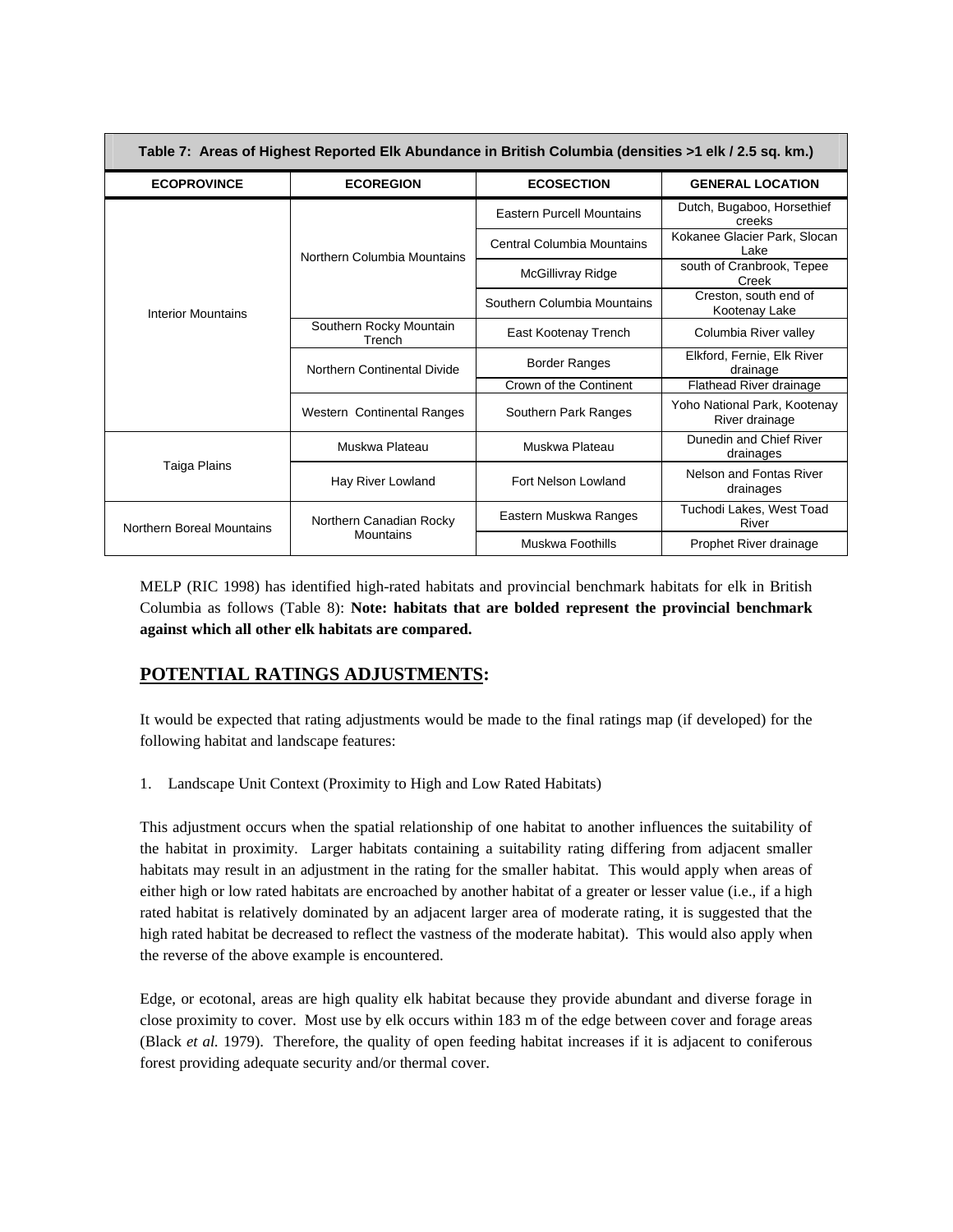| Table 7: Areas of Highest Reported Elk Abundance in British Columbia (densities >1 elk / 2.5 sq. km.) |                                   |                                   |                                                |
|-------------------------------------------------------------------------------------------------------|-----------------------------------|-----------------------------------|------------------------------------------------|
| <b>ECOPROVINCE</b>                                                                                    | <b>ECOREGION</b>                  | <b>ECOSECTION</b>                 | <b>GENERAL LOCATION</b>                        |
|                                                                                                       | Northern Columbia Mountains       | <b>Eastern Purcell Mountains</b>  | Dutch, Bugaboo, Horsethief<br>creeks           |
|                                                                                                       |                                   | <b>Central Columbia Mountains</b> | Kokanee Glacier Park, Slocan<br>Lake           |
|                                                                                                       |                                   | McGillivray Ridge                 | south of Cranbrook, Tepee<br>Creek             |
| <b>Interior Mountains</b>                                                                             |                                   | Southern Columbia Mountains       | Creston, south end of<br>Kootenay Lake         |
|                                                                                                       | Southern Rocky Mountain<br>Trench | East Kootenay Trench              | Columbia River valley                          |
|                                                                                                       | Northern Continental Divide       | <b>Border Ranges</b>              | Elkford, Fernie, Elk River<br>drainage         |
|                                                                                                       |                                   | Crown of the Continent            | Flathead River drainage                        |
|                                                                                                       | Western Continental Ranges        | Southern Park Ranges              | Yoho National Park, Kootenay<br>River drainage |
| Taiga Plains                                                                                          | Muskwa Plateau                    | Muskwa Plateau                    | Dunedin and Chief River<br>drainages           |
|                                                                                                       | Hay River Lowland                 | Fort Nelson Lowland               | Nelson and Fontas River<br>drainages           |
| Northern Boreal Mountains                                                                             | Northern Canadian Rocky           | Eastern Muskwa Ranges             | Tuchodi Lakes, West Toad<br>River              |
|                                                                                                       | Mountains                         | Muskwa Foothills                  | Prophet River drainage                         |

MELP (RIC 1998) has identified high-rated habitats and provincial benchmark habitats for elk in British Columbia as follows (Table 8): **Note: habitats that are bolded represent the provincial benchmark against which all other elk habitats are compared.** 

# **POTENTIAL RATINGS ADJUSTMENTS:**

It would be expected that rating adjustments would be made to the final ratings map (if developed) for the following habitat and landscape features:

1. Landscape Unit Context (Proximity to High and Low Rated Habitats)

This adjustment occurs when the spatial relationship of one habitat to another influences the suitability of the habitat in proximity. Larger habitats containing a suitability rating differing from adjacent smaller habitats may result in an adjustment in the rating for the smaller habitat. This would apply when areas of either high or low rated habitats are encroached by another habitat of a greater or lesser value (i.e., if a high rated habitat is relatively dominated by an adjacent larger area of moderate rating, it is suggested that the high rated habitat be decreased to reflect the vastness of the moderate habitat). This would also apply when the reverse of the above example is encountered.

Edge, or ecotonal, areas are high quality elk habitat because they provide abundant and diverse forage in close proximity to cover. Most use by elk occurs within 183 m of the edge between cover and forage areas (Black *et al.* 1979). Therefore, the quality of open feeding habitat increases if it is adjacent to coniferous forest providing adequate security and/or thermal cover.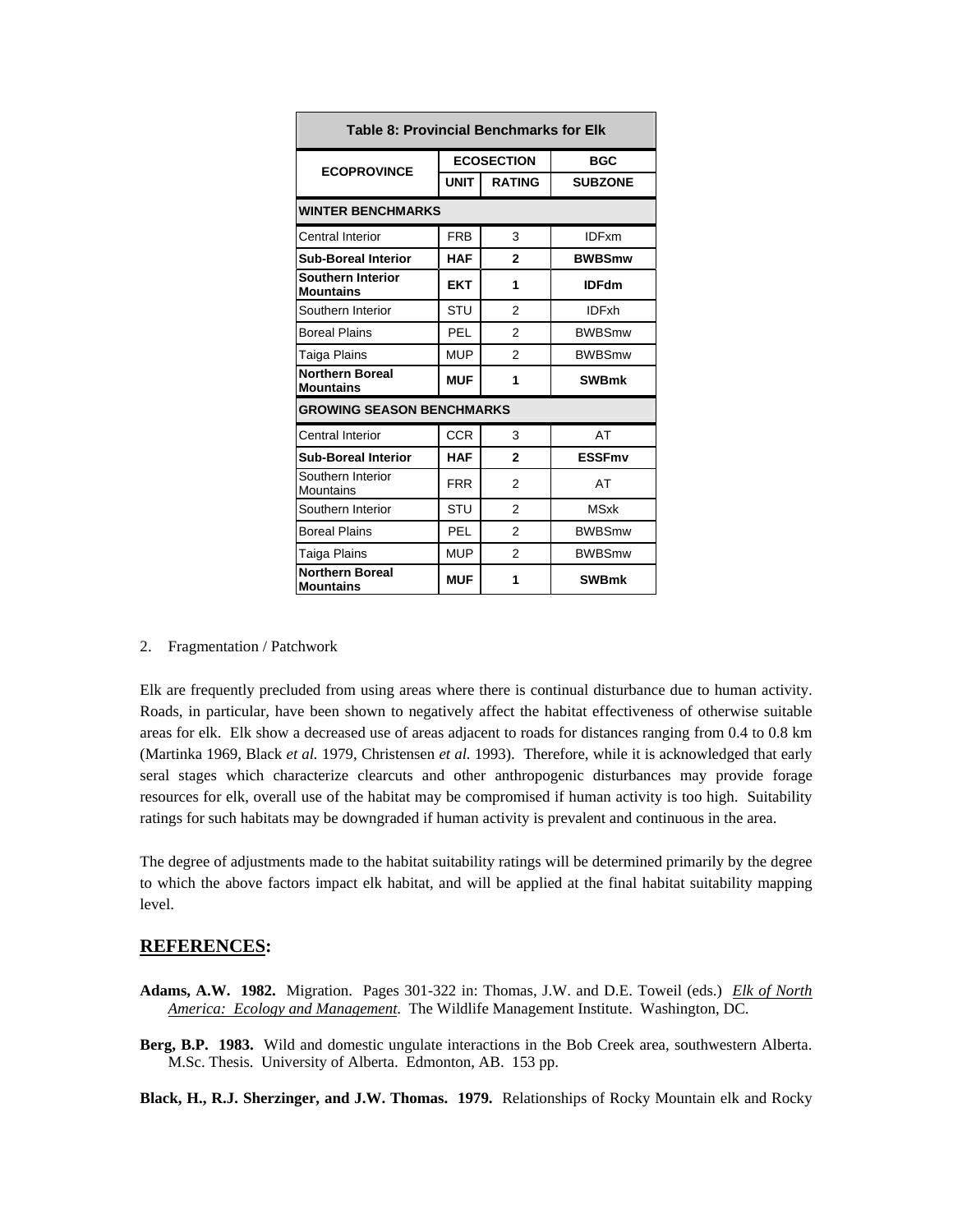| <b>Table 8: Provincial Benchmarks for Elk</b> |                   |                |                |
|-----------------------------------------------|-------------------|----------------|----------------|
| <b>ECOPROVINCE</b>                            | <b>ECOSECTION</b> |                | <b>BGC</b>     |
|                                               | <b>UNIT</b>       | <b>RATING</b>  | <b>SUBZONE</b> |
| <b>WINTER BENCHMARKS</b>                      |                   |                |                |
| Central Interior                              | <b>FRB</b>        | 3              | <b>IDFxm</b>   |
| <b>Sub-Boreal Interior</b>                    | <b>HAF</b>        | $\mathbf{2}$   | <b>BWBSmw</b>  |
| <b>Southern Interior</b><br><b>Mountains</b>  | <b>EKT</b>        | 1              | <b>IDFdm</b>   |
| Southern Interior                             | STU               | $\mathfrak{p}$ | <b>IDFxh</b>   |
| <b>Boreal Plains</b>                          | <b>PEL</b>        | $\mathfrak{p}$ | <b>BWBSmw</b>  |
| Taiga Plains                                  | <b>MUP</b>        | $\mathfrak{p}$ | <b>BWBSmw</b>  |
| <b>Northern Boreal</b><br><b>Mountains</b>    | <b>MUF</b>        | 1              | <b>SWBmk</b>   |
| <b>GROWING SEASON BENCHMARKS</b>              |                   |                |                |
| Central Interior                              | <b>CCR</b>        | 3              | AT             |
| <b>Sub-Boreal Interior</b>                    | <b>HAF</b>        | $\mathbf{2}$   | <b>ESSFmv</b>  |
| Southern Interior<br>Mountains                | <b>FRR</b>        | $\mathfrak{p}$ | AT             |
| Southern Interior                             | <b>STU</b>        | $\mathfrak{p}$ | <b>MSxk</b>    |
| <b>Boreal Plains</b>                          | <b>PEL</b>        | 2              | <b>BWBSmw</b>  |
| Taiga Plains                                  | <b>MUP</b>        | $\mathfrak{p}$ | <b>BWBSmw</b>  |
| <b>Northern Boreal</b><br><b>Mountains</b>    | <b>MUF</b>        | 1              | <b>SWBmk</b>   |

#### 2. Fragmentation / Patchwork

Elk are frequently precluded from using areas where there is continual disturbance due to human activity. Roads, in particular, have been shown to negatively affect the habitat effectiveness of otherwise suitable areas for elk. Elk show a decreased use of areas adjacent to roads for distances ranging from 0.4 to 0.8 km (Martinka 1969, Black *et al.* 1979, Christensen *et al.* 1993). Therefore, while it is acknowledged that early seral stages which characterize clearcuts and other anthropogenic disturbances may provide forage resources for elk, overall use of the habitat may be compromised if human activity is too high. Suitability ratings for such habitats may be downgraded if human activity is prevalent and continuous in the area.

The degree of adjustments made to the habitat suitability ratings will be determined primarily by the degree to which the above factors impact elk habitat, and will be applied at the final habitat suitability mapping level.

### **REFERENCES:**

- **Adams, A.W. 1982.** Migration. Pages 301-322 in: Thomas, J.W. and D.E. Toweil (eds.) *Elk of North America: Ecology and Management*. The Wildlife Management Institute. Washington, DC.
- **Berg, B.P. 1983.** Wild and domestic ungulate interactions in the Bob Creek area, southwestern Alberta. M.Sc. Thesis. University of Alberta. Edmonton, AB. 153 pp.

**Black, H., R.J. Sherzinger, and J.W. Thomas. 1979.** Relationships of Rocky Mountain elk and Rocky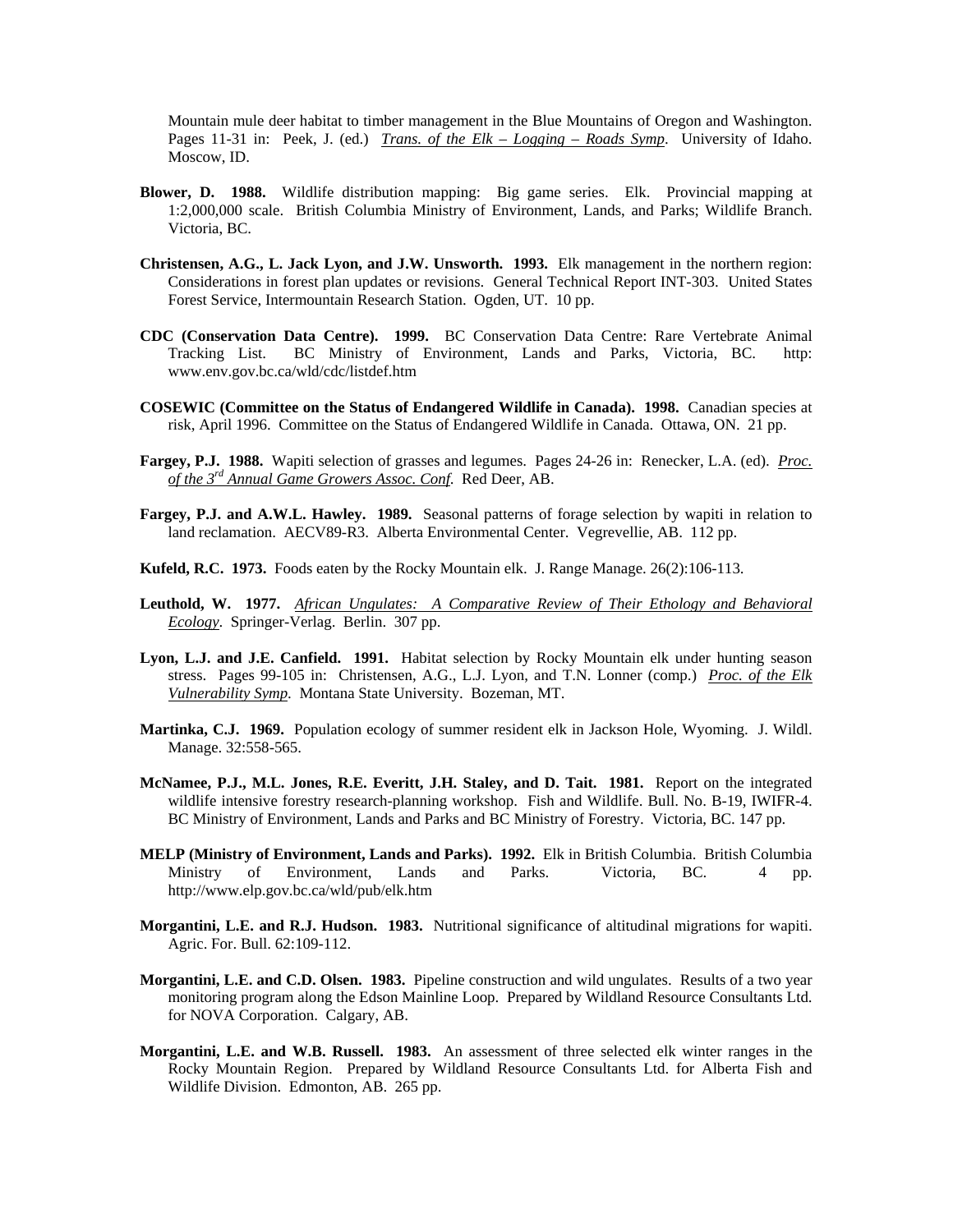Mountain mule deer habitat to timber management in the Blue Mountains of Oregon and Washington. Pages 11-31 in: Peek, J. (ed.) *Trans. of the Elk – Logging – Roads Symp*. University of Idaho. Moscow, ID.

- **Blower, D. 1988.** Wildlife distribution mapping: Big game series. Elk. Provincial mapping at 1:2,000,000 scale. British Columbia Ministry of Environment, Lands, and Parks; Wildlife Branch. Victoria, BC.
- **Christensen, A.G., L. Jack Lyon, and J.W. Unsworth. 1993.** Elk management in the northern region: Considerations in forest plan updates or revisions. General Technical Report INT-303. United States Forest Service, Intermountain Research Station. Ogden, UT. 10 pp.
- **CDC (Conservation Data Centre). 1999.** BC Conservation Data Centre: Rare Vertebrate Animal Tracking List. BC Ministry of Environment, Lands and Parks, Victoria, BC. http: www.env.gov.bc.ca/wld/cdc/listdef.htm
- **COSEWIC (Committee on the Status of Endangered Wildlife in Canada). 1998.** Canadian species at risk, April 1996. Committee on the Status of Endangered Wildlife in Canada. Ottawa, ON. 21 pp.
- **Fargey, P.J. 1988.** Wapiti selection of grasses and legumes. Pages 24-26 in: Renecker, L.A. (ed). *Proc. of the 3rd Annual Game Growers Assoc. Conf*. Red Deer, AB.
- **Fargey, P.J. and A.W.L. Hawley. 1989.** Seasonal patterns of forage selection by wapiti in relation to land reclamation. AECV89-R3. Alberta Environmental Center. Vegrevellie, AB. 112 pp.
- **Kufeld, R.C. 1973.** Foods eaten by the Rocky Mountain elk. J. Range Manage. 26(2):106-113.
- **Leuthold, W. 1977.** *African Ungulates: A Comparative Review of Their Ethology and Behavioral Ecology*. Springer-Verlag. Berlin. 307 pp.
- Lyon, L.J. and J.E. Canfield. 1991. Habitat selection by Rocky Mountain elk under hunting season stress. Pages 99-105 in: Christensen, A.G., L.J. Lyon, and T.N. Lonner (comp.) *Proc. of the Elk Vulnerability Symp*. Montana State University. Bozeman, MT.
- **Martinka, C.J. 1969.** Population ecology of summer resident elk in Jackson Hole, Wyoming. J. Wildl. Manage. 32:558-565.
- **McNamee, P.J., M.L. Jones, R.E. Everitt, J.H. Staley, and D. Tait. 1981.** Report on the integrated wildlife intensive forestry research-planning workshop. Fish and Wildlife. Bull. No. B-19, IWIFR-4. BC Ministry of Environment, Lands and Parks and BC Ministry of Forestry. Victoria, BC. 147 pp.
- **MELP (Ministry of Environment, Lands and Parks). 1992.** Elk in British Columbia. British Columbia Ministry of Environment, Lands and Parks. Victoria, BC. 4 pp. http://www.elp.gov.bc.ca/wld/pub/elk.htm
- **Morgantini, L.E. and R.J. Hudson. 1983.** Nutritional significance of altitudinal migrations for wapiti. Agric. For. Bull. 62:109-112.
- **Morgantini, L.E. and C.D. Olsen. 1983.** Pipeline construction and wild ungulates. Results of a two year monitoring program along the Edson Mainline Loop. Prepared by Wildland Resource Consultants Ltd. for NOVA Corporation. Calgary, AB.
- **Morgantini, L.E. and W.B. Russell. 1983.** An assessment of three selected elk winter ranges in the Rocky Mountain Region. Prepared by Wildland Resource Consultants Ltd. for Alberta Fish and Wildlife Division. Edmonton, AB. 265 pp.